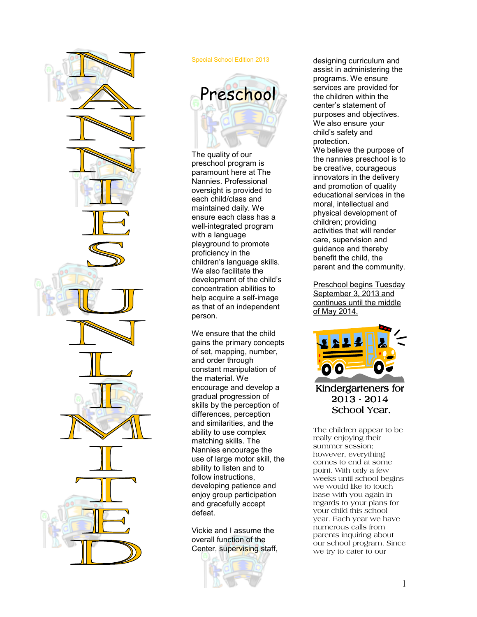

#### Special School Edition 2013



The quality of our preschool program is paramount here at The Nannies. Professional oversight is provided to each child/class and maintained daily. We ensure each class has a well-integrated program with a language playground to promote proficiency in the children's language skills. We also facilitate the development of the child's concentration abilities to help acquire a self-image as that of an independent person.

We ensure that the child gains the primary concepts of set, mapping, number, and order through constant manipulation of the material. We encourage and develop a gradual progression of skills by the perception of differences, perception and similarities, and the ability to use complex matching skills. The Nannies encourage the use of large motor skill, the ability to listen and to follow instructions, developing patience and enjoy group participation and gracefully accept defeat.

Vickie and I assume the overall function of the Center, supervising staff,



designing curriculum and assist in administering the programs. We ensure services are provided for the children within the center's statement of purposes and objectives. We also ensure your child's safety and protection.

We believe the purpose of the nannies preschool is to be creative, courageous innovators in the delivery and promotion of quality educational services in the moral, intellectual and physical development of children; providing activities that will render care, supervision and guidance and thereby benefit the child, the parent and the community.

Preschool begins Tuesday September 3, 2013 and continues until the middle of May 2014.



## Kindergarteners for 2013-2014 School Year.

The children appear to be really enjoying their summer session; however, everything comes to end at some point. With only a few weeks until school begins we would like to touch base with you again in regards to your plans for your child this school year. Each year we have numerous calls from parents inquiring about our school program. Since we try to cater to our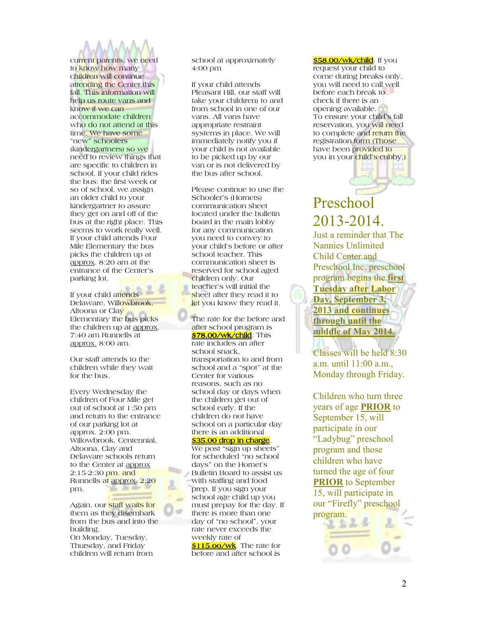current parents, we need to know how many children will continue attending the Center this fall. This information will help us route vans and know if we can accommodate children who do not attend at this time. We have some "new" schoolers (kindergartners) so we need to review things that are specific to children in school. If your child rides the bus: the first week or so of school, we assign an older child to your kindergartner to assure they get on and off of the bus at the right place. This seems to work really well. If your child attends Four Mile Elementary the bus picks the children up at approx. 8:20 am at the entrance of the Center's parking lot.

If your child attends Delaware, Willowbrook, Altoona or Clay Elementary the bus picks the children up at approx. 7:40 am Runnells at approx. 8:00 am.

Our staff attends to the children while they wait for the bus.

Every Wednesday the children of Four Mile get out of school at 1:50 pm and return to the entrance of our parking lot at approx. 2:00 pm. Willowbrook, Centennial, Altoona, Clay and Delaware schools return to the Center at approx 2:15-2:30 pm. and Runnells at approx. 2;20 pm.

Again, our staff waits for them as they disembark from the bus and into the building.

On Monday, Tuesday, Thursday, and Friday children will return from school at approximately 4:00 pm

If your child attends Pleasant Hill, our staff will take your child(ren) to and from school in one of our vans. All vans have appropriate restraint systems in place. We will immediately notify you if your child is not available to be picked up by our van or is not delivered by the bus after school.

Please continue to use the Schooler's (Hornets) communication sheet located under the bulletin board in the main lobby for any communication you need to convey to your child's before or after school teacher. This communication sheet is reserved for school aged children only. Our teacher's will initial the sheet after they read it to let you know they read it.

The rate for the before and after school program is **\$78.00/wk/child**. This rate includes an after school snack, transportation to and from school and a "spot" at the Center for various reasons, such as no school day or days when the children get out of school early. If the children do not have school on a particular day there is an additional

### <mark>\$35.00 drop in charge</mark>

We post "sign up sheets" for scheduled "no school days" on the Hornet's Bulletin Board to assist us with staffing and food prep. If you sign your school age child up you must prepay for the day. If there is more than one day of "no school", your rate never exceeds the weekly rate of

**\$115.00/wk**. The rate for before and after school is

<mark>\$58.00/wk/child</mark>. If you request your child to come during breaks only, you will need to call well before each break to check if there is an opening available. To ensure your child's fall reservation, you will need to complete and return the registration form (Those have been provided to you in your child's cubby.)

# Preschool 2013-2014.

Just a reminder that The Nannies Unlimited Child Center and Preschool Inc. preschool program begins the **first Tuesday after Labor Day, September 3, 2013 and continues through until the middle of May 2014.** 

Classes will be held 8:30 a.m. until 11:00 a.m., Monday through Friday.

Children who turn three years of age **PRIOR** to September 15, will participate in our "Ladybug" preschool program and those children who have turned the age of four **PRIOR** to September 15, will participate in our "Firefly" preschool program.

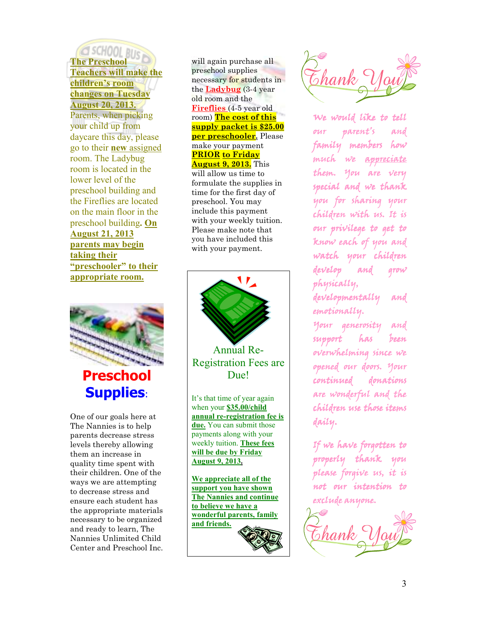# G SCHOOL RIJE **The Preschool Teachers will make the children's room changes on Tuesday August 20, 2013.**

Parents, when picking your child up from daycare this day, please go to their **new** assigned room. The Ladybug room is located in the lower level of the preschool building and the Fireflies are located on the main floor in the preschool building**. On August 21, 2013 parents may begin taking their "preschooler" to their appropriate room.**



# **Preschool Supplies**:

One of our goals here at The Nannies is to help parents decrease stress levels thereby allowing them an increase in quality time spent with their children. One of the ways we are attempting to decrease stress and ensure each student has the appropriate materials necessary to be organized and ready to learn, The Nannies Unlimited Child Center and Preschool Inc.

will again purchase all preschool supplies necessary for students in the **Ladybug** (3-4 year old room and the **Fireflies** (4-5 year old room) **The cost of this supply packet is \$25.00 per preschooler.** Please make your payment **PRIOR to Friday August 9, 2013.** This will allow us time to formulate the supplies in time for the first day of preschool. You may include this payment with your weekly tuition. Please make note that you have included this with your payment.



Annual Re-Registration Fees are Due!

It's that time of year again when your **\$35.00/child annual re-registration fee is due.** You can submit those payments along with your weekly tuition. **These fees will be due by Friday August 9, 2013.** 

**We appreciate all of the support you have shown The Nannies and continue to believe we have a wonderful parents, family and friends.** 



We would like to tell our parent's and family members how much we appreciate them. You are very special and we thank you for sharing your children with us. It is our privilege to get to know each of you and watch your children develop and grow physically,

developmentally and emotionally.

Your generosity and support has been overwhelming since we opened our doors. Your continued donations are wonderful and the children use those items daily.

If we have forgotten to properly thank you please forgive us, it is not our intention to exclude anyone.